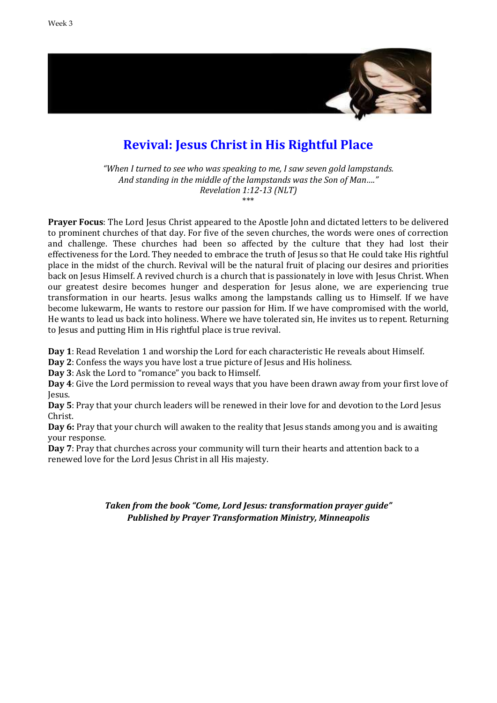

# **Revival: Jesus Christ in His Rightful Place**

*"When I turned to see who was speaking to me, I saw seven gold lampstands. And standing in the middle of the lampstands was the Son of Man…." Revelation 1:12-13 (NLT)*

\*\*\*

**Prayer Focus**: The Lord Jesus Christ appeared to the Apostle John and dictated letters to be delivered to prominent churches of that day. For five of the seven churches, the words were ones of correction and challenge. These churches had been so affected by the culture that they had lost their effectiveness for the Lord. They needed to embrace the truth of Jesus so that He could take His rightful place in the midst of the church. Revival will be the natural fruit of placing our desires and priorities back on Jesus Himself. A revived church is a church that is passionately in love with Jesus Christ. When our greatest desire becomes hunger and desperation for Jesus alone, we are experiencing true transformation in our hearts. Jesus walks among the lampstands calling us to Himself. If we have become lukewarm, He wants to restore our passion for Him. If we have compromised with the world, He wants to lead us back into holiness. Where we have tolerated sin, He invites us to repent. Returning to Jesus and putting Him in His rightful place is true revival.

**Day 1**: Read Revelation 1 and worship the Lord for each characteristic He reveals about Himself.

**Day 2**: Confess the ways you have lost a true picture of Jesus and His holiness.

**Day 3**: Ask the Lord to "romance" you back to Himself.

**Day 4**: Give the Lord permission to reveal ways that you have been drawn away from your first love of Jesus.

**Day 5**: Pray that your church leaders will be renewed in their love for and devotion to the Lord Jesus Christ.

**Day 6:** Pray that your church will awaken to the reality that Jesus stands among you and is awaiting your response.

**Day 7**: Pray that churches across your community will turn their hearts and attention back to a renewed love for the Lord Jesus Christ in all His majesty.

> *Taken from the book "Come, Lord Jesus: transformation prayer guide" Published by Prayer Transformation Ministry, Minneapolis*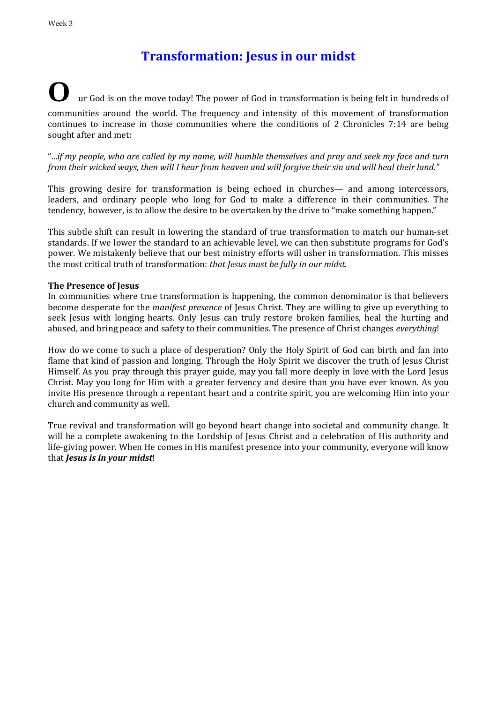# **Transformation: Jesus in our midst**

### **O** ur God is on the move today! The power of God in transformation is being felt in hundreds of communities around the world. The frequency and intensity of this movement of transformation continues to increase in those communities where the conditions of 2 Chronicles 7:14 are being sought after and met:

"...*if my people, who are called by my name, will humble themselves and pray and seek my face and turn from their wicked ways, then will I hear from heaven and will forgive their sin and will heal their land."*

This growing desire for transformation is being echoed in churches— and among intercessors, leaders, and ordinary people who long for God to make a difference in their communities. The tendency, however, is to allow the desire to be overtaken by the drive to "make something happen."

This subtle shift can result in lowering the standard of true transformation to match our human-set standards. If we lower the standard to an achievable level, we can then substitute programs for God's power. We mistakenly believe that our best ministry efforts will usher in transformation. This misses the most critical truth of transformation: *that Jesus must be fully in our midst.*

#### **The Presence of Jesus**

In communities where true transformation is happening, the common denominator is that believers become desperate for the *manifest presence* of Jesus Christ. They are willing to give up everything to seek Jesus with longing hearts. Only Jesus can truly restore broken families, heal the hurting and abused, and bring peace and safety to their communities. The presence of Christ changes *everything*!

How do we come to such a place of desperation? Only the Holy Spirit of God can birth and fan into flame that kind of passion and longing. Through the Holy Spirit we discover the truth of Jesus Christ Himself. As you pray through this prayer guide, may you fall more deeply in love with the Lord Jesus Christ. May you long for Him with a greater fervency and desire than you have ever known. As you invite His presence through a repentant heart and a contrite spirit, you are welcoming Him into your church and community as well.

True revival and transformation will go beyond heart change into societal and community change. It will be a complete awakening to the Lordship of Jesus Christ and a celebration of His authority and life-giving power. When He comes in His manifest presence into your community, everyone will know that *Jesus is in your midst*!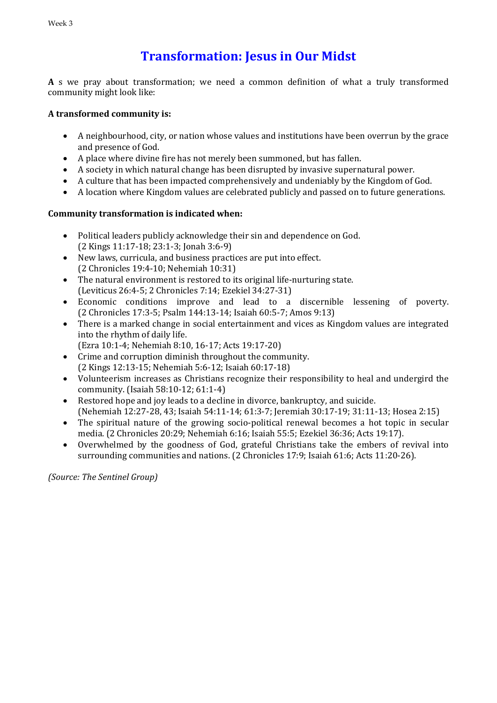# **Transformation: Jesus in Our Midst**

**A** s we pray about transformation; we need a common definition of what a truly transformed community might look like:

### **A transformed community is:**

- A neighbourhood, city, or nation whose values and institutions have been overrun by the grace and presence of God.
- A place where divine fire has not merely been summoned, but has fallen.
- A society in which natural change has been disrupted by invasive supernatural power.
- A culture that has been impacted comprehensively and undeniably by the Kingdom of God.
- A location where Kingdom values are celebrated publicly and passed on to future generations.

### **Community transformation is indicated when:**

- Political leaders publicly acknowledge their sin and dependence on God. (2 Kings 11:17-18; 23:1-3; Jonah 3:6-9)
- New laws, curricula, and business practices are put into effect. (2 Chronicles 19:4-10; Nehemiah 10:31)
- The natural environment is restored to its original life-nurturing state. (Leviticus 26:4-5; 2 Chronicles 7:14; Ezekiel 34:27-31)
- Economic conditions improve and lead to a discernible lessening of poverty. (2 Chronicles 17:3-5; Psalm 144:13-14; Isaiah 60:5-7; Amos 9:13)
- There is a marked change in social entertainment and vices as Kingdom values are integrated into the rhythm of daily life.
	- (Ezra 10:1-4; Nehemiah 8:10, 16-17; Acts 19:17-20)
- Crime and corruption diminish throughout the community. (2 Kings 12:13-15; Nehemiah 5:6-12; Isaiah 60:17-18)
- Volunteerism increases as Christians recognize their responsibility to heal and undergird the community. (Isaiah 58:10-12; 61:1-4)
- Restored hope and joy leads to a decline in divorce, bankruptcy, and suicide. (Nehemiah 12:27-28, 43; Isaiah 54:11-14; 61:3-7; Jeremiah 30:17-19; 31:11-13; Hosea 2:15)
- The spiritual nature of the growing socio-political renewal becomes a hot topic in secular media. (2 Chronicles 20:29; Nehemiah 6:16; Isaiah 55:5; Ezekiel 36:36; Acts 19:17).
- Overwhelmed by the goodness of God, grateful Christians take the embers of revival into surrounding communities and nations. (2 Chronicles 17:9; Isaiah 61:6; Acts 11:20-26).

*(Source: The Sentinel Group)*